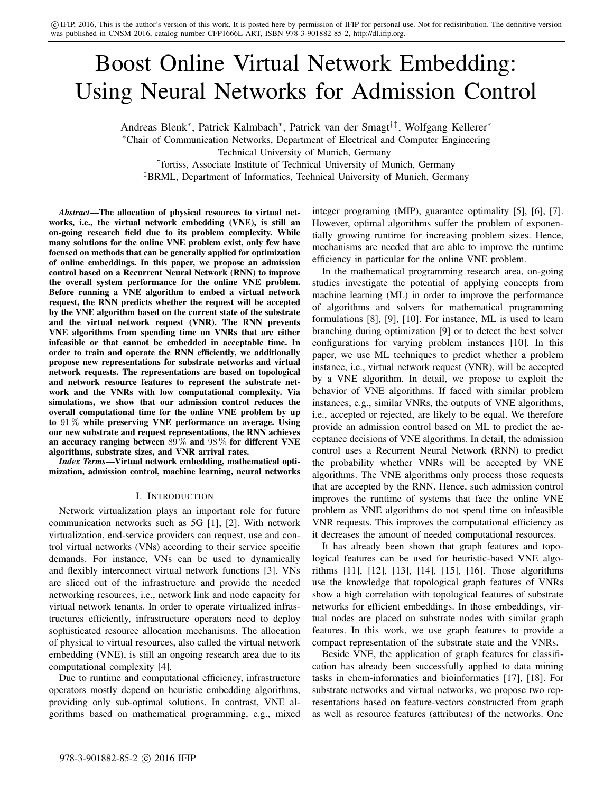c IFIP, 2016, This is the author's version of this work. It is posted here by permission of IFIP for personal use. Not for redistribution. The definitive version was published in CNSM 2016, catalog number CFP1666L-ART, ISBN 978-3-901882-85-2, http://dl.ifip.org.

# Boost Online Virtual Network Embedding: Using Neural Networks for Admission Control

Andreas Blenk<sup>∗</sup> , Patrick Kalmbach<sup>∗</sup> , Patrick van der Smagt†‡, Wolfgang Kellerer<sup>∗</sup> <sup>∗</sup>Chair of Communication Networks, Department of Electrical and Computer Engineering Technical University of Munich, Germany † fortiss, Associate Institute of Technical University of Munich, Germany

‡BRML, Department of Informatics, Technical University of Munich, Germany

*Abstract*—The allocation of physical resources to virtual networks, i.e., the virtual network embedding (VNE), is still an on-going research field due to its problem complexity. While many solutions for the online VNE problem exist, only few have focused on methods that can be generally applied for optimization of online embeddings. In this paper, we propose an admission control based on a Recurrent Neural Network (RNN) to improve the overall system performance for the online VNE problem. Before running a VNE algorithm to embed a virtual network request, the RNN predicts whether the request will be accepted by the VNE algorithm based on the current state of the substrate and the virtual network request (VNR). The RNN prevents VNE algorithms from spending time on VNRs that are either infeasible or that cannot be embedded in acceptable time. In order to train and operate the RNN efficiently, we additionally propose new representations for substrate networks and virtual network requests. The representations are based on topological and network resource features to represent the substrate network and the VNRs with low computational complexity. Via simulations, we show that our admission control reduces the overall computational time for the online VNE problem by up to 91 % while preserving VNE performance on average. Using our new substrate and request representations, the RNN achieves an accuracy ranging between 89 % and 98 % for different VNE algorithms, substrate sizes, and VNR arrival rates.

*Index Terms*—Virtual network embedding, mathematical optimization, admission control, machine learning, neural networks

#### I. INTRODUCTION

Network virtualization plays an important role for future communication networks such as 5G [1], [2]. With network virtualization, end-service providers can request, use and control virtual networks (VNs) according to their service specific demands. For instance, VNs can be used to dynamically and flexibly interconnect virtual network functions [3]. VNs are sliced out of the infrastructure and provide the needed networking resources, i.e., network link and node capacity for virtual network tenants. In order to operate virtualized infrastructures efficiently, infrastructure operators need to deploy sophisticated resource allocation mechanisms. The allocation of physical to virtual resources, also called the virtual network embedding (VNE), is still an ongoing research area due to its computational complexity [4].

Due to runtime and computational efficiency, infrastructure operators mostly depend on heuristic embedding algorithms, providing only sub-optimal solutions. In contrast, VNE algorithms based on mathematical programming, e.g., mixed integer programing (MIP), guarantee optimality [5], [6], [7]. However, optimal algorithms suffer the problem of exponentially growing runtime for increasing problem sizes. Hence, mechanisms are needed that are able to improve the runtime efficiency in particular for the online VNE problem.

In the mathematical programming research area, on-going studies investigate the potential of applying concepts from machine learning (ML) in order to improve the performance of algorithms and solvers for mathematical programming formulations [8], [9], [10]. For instance, ML is used to learn branching during optimization [9] or to detect the best solver configurations for varying problem instances [10]. In this paper, we use ML techniques to predict whether a problem instance, i.e., virtual network request (VNR), will be accepted by a VNE algorithm. In detail, we propose to exploit the behavior of VNE algorithms. If faced with similar problem instances, e.g., similar VNRs, the outputs of VNE algorithms, i.e., accepted or rejected, are likely to be equal. We therefore provide an admission control based on ML to predict the acceptance decisions of VNE algorithms. In detail, the admission control uses a Recurrent Neural Network (RNN) to predict the probability whether VNRs will be accepted by VNE algorithms. The VNE algorithms only process those requests that are accepted by the RNN. Hence, such admission control improves the runtime of systems that face the online VNE problem as VNE algorithms do not spend time on infeasible VNR requests. This improves the computational efficiency as it decreases the amount of needed computational resources.

It has already been shown that graph features and topological features can be used for heuristic-based VNE algorithms [11], [12], [13], [14], [15], [16]. Those algorithms use the knowledge that topological graph features of VNRs show a high correlation with topological features of substrate networks for efficient embeddings. In those embeddings, virtual nodes are placed on substrate nodes with similar graph features. In this work, we use graph features to provide a compact representation of the substrate state and the VNRs.

Beside VNE, the application of graph features for classification has already been successfully applied to data mining tasks in chem-informatics and bioinformatics [17], [18]. For substrate networks and virtual networks, we propose two representations based on feature-vectors constructed from graph as well as resource features (attributes) of the networks. One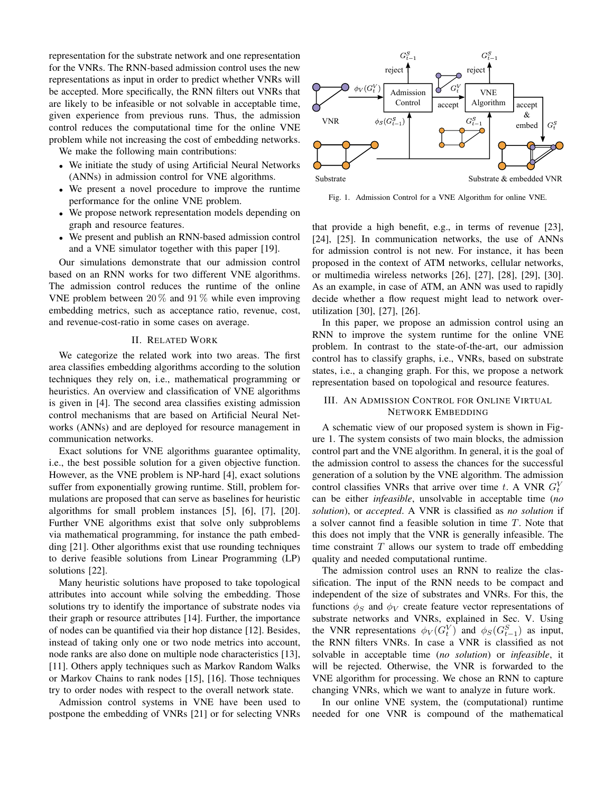representation for the substrate network and one representation for the VNRs. The RNN-based admission control uses the new representations as input in order to predict whether VNRs will be accepted. More specifically, the RNN filters out VNRs that are likely to be infeasible or not solvable in acceptable time, given experience from previous runs. Thus, the admission control reduces the computational time for the online VNE problem while not increasing the cost of embedding networks.

We make the following main contributions:

- We initiate the study of using Artificial Neural Networks (ANNs) in admission control for VNE algorithms.
- We present a novel procedure to improve the runtime performance for the online VNE problem.
- We propose network representation models depending on graph and resource features.
- We present and publish an RNN-based admission control and a VNE simulator together with this paper [19].

Our simulations demonstrate that our admission control based on an RNN works for two different VNE algorithms. The admission control reduces the runtime of the online VNE problem between  $20\%$  and  $91\%$  while even improving embedding metrics, such as acceptance ratio, revenue, cost, and revenue-cost-ratio in some cases on average.

## II. RELATED WORK

We categorize the related work into two areas. The first area classifies embedding algorithms according to the solution techniques they rely on, i.e., mathematical programming or heuristics. An overview and classification of VNE algorithms is given in [4]. The second area classifies existing admission control mechanisms that are based on Artificial Neural Networks (ANNs) and are deployed for resource management in communication networks.

Exact solutions for VNE algorithms guarantee optimality, i.e., the best possible solution for a given objective function. However, as the VNE problem is NP-hard [4], exact solutions suffer from exponentially growing runtime. Still, problem formulations are proposed that can serve as baselines for heuristic algorithms for small problem instances [5], [6], [7], [20]. Further VNE algorithms exist that solve only subproblems via mathematical programming, for instance the path embedding [21]. Other algorithms exist that use rounding techniques to derive feasible solutions from Linear Programming (LP) solutions [22].

Many heuristic solutions have proposed to take topological attributes into account while solving the embedding. Those solutions try to identify the importance of substrate nodes via their graph or resource attributes [14]. Further, the importance of nodes can be quantified via their hop distance [12]. Besides, instead of taking only one or two node metrics into account, node ranks are also done on multiple node characteristics [13], [11]. Others apply techniques such as Markov Random Walks or Markov Chains to rank nodes [15], [16]. Those techniques try to order nodes with respect to the overall network state.

Admission control systems in VNE have been used to postpone the embedding of VNRs [21] or for selecting VNRs



Fig. 1. Admission Control for a VNE Algorithm for online VNE.

that provide a high benefit, e.g., in terms of revenue [23], [24], [25]. In communication networks, the use of ANNs for admission control is not new. For instance, it has been proposed in the context of ATM networks, cellular networks, or multimedia wireless networks [26], [27], [28], [29], [30]. As an example, in case of ATM, an ANN was used to rapidly decide whether a flow request might lead to network overutilization [30], [27], [26].

In this paper, we propose an admission control using an RNN to improve the system runtime for the online VNE problem. In contrast to the state-of-the-art, our admission control has to classify graphs, i.e., VNRs, based on substrate states, i.e., a changing graph. For this, we propose a network representation based on topological and resource features.

# III. AN ADMISSION CONTROL FOR ONLINE VIRTUAL NETWORK EMBEDDING

A schematic view of our proposed system is shown in Figure 1. The system consists of two main blocks, the admission control part and the VNE algorithm. In general, it is the goal of the admission control to assess the chances for the successful generation of a solution by the VNE algorithm. The admission control classifies VNRs that arrive over time t. A VNR  $G_t^V$ can be either *infeasible*, unsolvable in acceptable time (*no solution*), or *accepted*. A VNR is classified as *no solution* if a solver cannot find a feasible solution in time T. Note that this does not imply that the VNR is generally infeasible. The time constraint  $T$  allows our system to trade off embedding quality and needed computational runtime.

The admission control uses an RNN to realize the classification. The input of the RNN needs to be compact and independent of the size of substrates and VNRs. For this, the functions  $\phi_S$  and  $\phi_V$  create feature vector representations of substrate networks and VNRs, explained in Sec. V. Using the VNR representations  $\phi_V(G_t^V)$  and  $\phi_S(G_{t-1}^S)$  as input, the RNN filters VNRs. In case a VNR is classified as not solvable in acceptable time (*no solution*) or *infeasible*, it will be rejected. Otherwise, the VNR is forwarded to the VNE algorithm for processing. We chose an RNN to capture changing VNRs, which we want to analyze in future work.

In our online VNE system, the (computational) runtime needed for one VNR is compound of the mathematical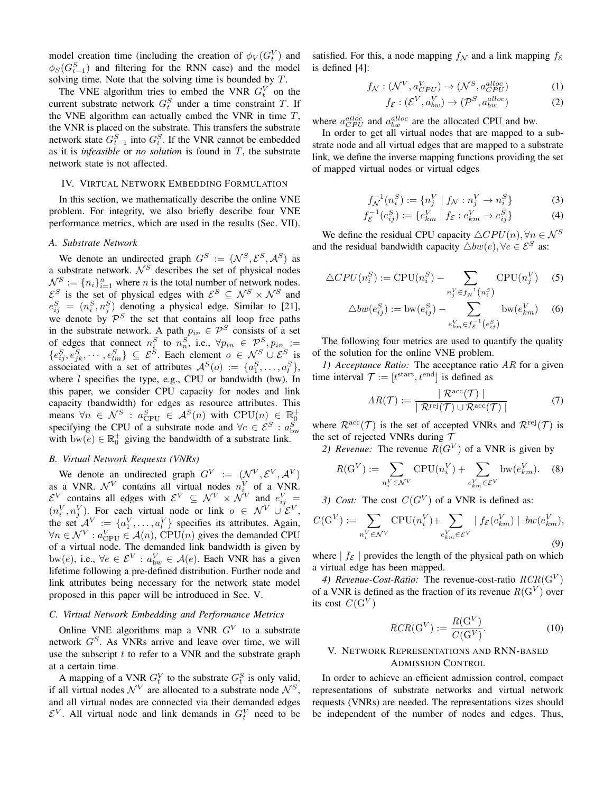model creation time (including the creation of  $\phi_V(G_t^V)$  and  $\phi_S(G_{t-1}^S)$  and filtering for the RNN case) and the model solving time. Note that the solving time is bounded by T.

The VNE algorithm tries to embed the VNR  $G_t^V$  on the current substrate network  $G_t^S$  under a time constraint T. If the VNE algorithm can actually embed the VNR in time  $T$ , the VNR is placed on the substrate. This transfers the substrate network state  $G_{t-1}^S$  into  $G_t^S$ . If the VNR cannot be embedded as it is *infeasible* or *no solution* is found in T, the substrate network state is not affected.

#### IV. VIRTUAL NETWORK EMBEDDING FORMULATION

In this section, we mathematically describe the online VNE problem. For integrity, we also briefly describe four VNE performance metrics, which are used in the results (Sec. VII).

### *A. Substrate Network*

We denote an undirected graph  $G^S := (\mathcal{N}^S, \mathcal{E}^S, \mathcal{A}^S)$  as a substrate network.  $\mathcal{N}^S$  describes the set of physical nodes  $\mathcal{N}_s^S := \{n_i\}_{i=1}^n$  where *n* is the total number of network nodes.  $\mathcal{E}^S$  is the set of physical edges with  $\mathcal{E}^S \subseteq \mathcal{N}^S \times \mathcal{N}^S$  and  $e_{ij}^S = (n_i^S, n_j^S)$  denoting a physical edge. Similar to [21], we denote by  $\mathcal{P}^S$  the set that contains all loop free paths in the substrate network. A path  $p_{in} \in \mathcal{P}^S$  consists of a set of edges that connect  $n_i^S$  to  $n_n^S$ , i.e.,  $\forall p_{in} \in \mathcal{P}_i^S, p_{in} :=$  $\{e_{ij}^S, e_{jk}^S, \cdots, e_{lm}^S\} \subseteq \mathcal{E}^S$ . Each element  $o \in \mathcal{N}^S \cup \mathcal{E}^S$  is associated with a set of attributes  $\mathcal{A}^{S}(o) := \{a_1^{S}, \ldots, a_l^{S}\},\$ where  $l$  specifies the type, e.g., CPU or bandwidth (bw). In this paper, we consider CPU capacity for nodes and link capacity (bandwidth) for edges as resource attributes. This means  $\forall n \in \mathcal{N}^S : a_{\text{CPU}}^S \in \mathcal{A}^S(n)$  with  $\text{CPU}(n) \in \mathbb{R}_0^+$ <br>specifying the CPU of a substrate node and  $\forall e \in \mathcal{E}^S : a_{\text{bw}}^S$ with  $bw(e) \in \mathbb{R}_0^+$  giving the bandwidth of a substrate link.

# *B. Virtual Network Requests (VNRs)*

We denote an undirected graph  $G^V := (\mathcal{N}^V, \mathcal{E}^V, \mathcal{A}^V)$ as a VNR.  $\mathcal{N}^V$  contains all virtual nodes  $n_i^V$  of a VNR.  $\mathcal{E}^V$  contains all edges with  $\mathcal{E}^V \subseteq \mathcal{N}^V \times \mathcal{N}^V$  and  $e_{ij}^V =$  $(n_i^V, n_j^V)$ . For each virtual node or link  $o \in \mathcal{N}^V \cup \mathcal{E}^V$ , the set  $A^V := \{a_1^V, \ldots, a_l^V\}$  specifies its attributes. Again,  $\forall n \in \mathcal{N}^V : a_{\text{CPU}}^V \in \mathcal{A}(n)$ , CPU $(n)$  gives the demanded CPU of a virtual node. The demanded link bandwidth is given by bw(e), i.e.,  $\forall e \in \mathcal{E}^V : a_{bw}^V \in \mathcal{A}(e)$ . Each VNR has a given lifetime following a pre-defined distribution. Further node and link attributes being necessary for the network state model proposed in this paper will be introduced in Sec. V.

# *C. Virtual Network Embedding and Performance Metrics*

Online VNE algorithms map a VNR  $G<sup>V</sup>$  to a substrate network  $G<sup>S</sup>$ . As VNRs arrive and leave over time, we will use the subscript  $t$  to refer to a VNR and the substrate graph at a certain time.

A mapping of a VNR  $G_t^V$  to the substrate  $G_t^S$  is only valid, if all virtual nodes  $\mathcal{N}^V$  are allocated to a substrate node  $\mathcal{N}^S$ , and all virtual nodes are connected via their demanded edges  $\mathcal{E}^V$ . All virtual node and link demands in  $G_t^V$  need to be

satisfied. For this, a node mapping  $f_N$  and a link mapping  $f_{\mathcal{E}}$ is defined [4]:

$$
f_{\mathcal{N}} : (\mathcal{N}^V, a_{CPU}^V) \to (\mathcal{N}^S, a_{CPU}^{alloc})
$$
 (1)

$$
f_{\mathcal{E}} : (\mathcal{E}^V, a_{bw}^V) \to (\mathcal{P}^S, a_{bw}^{alloc})
$$
 (2)

where  $a_{CPU}^{alloc}$  and  $a_{bw}^{alloc}$  are the allocated CPU and bw.

In order to get all virtual nodes that are mapped to a substrate node and all virtual edges that are mapped to a substrate link, we define the inverse mapping functions providing the set of mapped virtual nodes or virtual edges

$$
f_{\mathcal{N}}^{-1}(n_i^S) := \{ n_j^V \mid f_{\mathcal{N}} : n_j^V \to n_i^S \}
$$
 (3)

$$
f_{\mathcal{E}}^{-1}(e_{ij}^{S}) := \{ e_{km}^{V} \mid f_{\mathcal{E}} : e_{km}^{V} \to e_{ij}^{S} \}
$$
 (4)

We define the residual CPU capacity  $\triangle CPU(n), \forall n \in \mathcal{N}^S$ and the residual bandwidth capacity  $\triangle bw(e), \forall e \in \mathcal{E}^{S}$  as:

$$
\triangle CPU(n_i^S) := CPU(n_i^S) - \sum_{n_j^V \in f_N^{-1}(n_i^S)} CPU(n_j^V) \quad (5)
$$

$$
\triangle bw(e_{ij}^{S}) := \text{bw}(e_{ij}^{S}) - \sum_{e_{km}^{V} \in f_{\mathcal{E}}^{-1}(e_{ij}^{S})} \text{bw}(e_{km}^{V}) \quad (6)
$$

The following four metrics are used to quantify the quality of the solution for the online VNE problem.

*1) Acceptance Ratio:* The acceptance ratio AR for a given time interval  $\mathcal{T} := [t^{\text{start}}, t^{\text{end}}]$  is defined as

$$
AR(\mathcal{T}) := \frac{|\mathcal{R}^{\text{acc}}(\mathcal{T})|}{|\mathcal{R}^{\text{rej}}(\mathcal{T}) \cup \mathcal{R}^{\text{acc}}(\mathcal{T})|}
$$
(7)

where  $\mathcal{R}^{\text{acc}}(\mathcal{T})$  is the set of accepted VNRs and  $\mathcal{R}^{\text{rej}}(\mathcal{T})$  is the set of rejected VNRs during  $\tau$ 

2) *Revenue:* The revenue  $R(G^V)$  of a VNR is given by

$$
R(\mathbf{G}^V) := \sum_{n_i^V \in \mathcal{N}^V} \text{CPU}(n_i^V) + \sum_{e_{km}^V \in \mathcal{E}^V} \text{bw}(e_{km}^V). \tag{8}
$$

3) Cost: The cost  $C(G^V)$  of a VNR is defined as:

$$
C(\mathbf{G}^V) := \sum_{n_i^V \in \mathcal{N}^V} \text{CPU}(n_i^V) + \sum_{e_{km}^V \in \mathcal{E}^V} |f_{\mathcal{E}}(e_{km}^V)| \cdot bw(e_{km}^V),
$$
\n(9)

where  $| f_{\mathcal{E}} |$  provides the length of the physical path on which a virtual edge has been mapped.

4) Revenue-Cost-Ratio: The revenue-cost-ratio  $RCR(G^V)$ of a VNR is defined as the fraction of its revenue  $R(G^V)$  over its cost  $C(\mathbf{G}^V)$ 

$$
RCR(\mathbf{G}^V) := \frac{R(\mathbf{G}^V)}{C(\mathbf{G}^V)}.
$$
\n(10)

# V. NETWORK REPRESENTATIONS AND RNN-BASED ADMISSION CONTROL

In order to achieve an efficient admission control, compact representations of substrate networks and virtual network requests (VNRs) are needed. The representations sizes should be independent of the number of nodes and edges. Thus,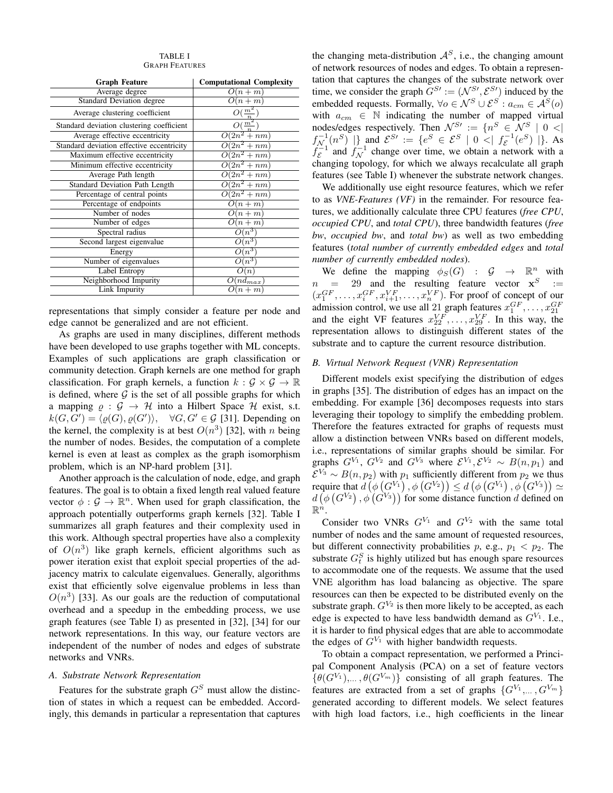#### TABLE I GRAPH FEATURES

| <b>Graph Feature</b>                      | <b>Computational Complexity</b> |  |  |
|-------------------------------------------|---------------------------------|--|--|
| Average degree                            | $O(n+m)$                        |  |  |
| <b>Standard Deviation degree</b>          | $O(n+m)$                        |  |  |
| Average clustering coefficient            | $O(\frac{m^2}{n})$              |  |  |
| Standard deviation clustering coefficient | $O(\frac{m^2}{\pi})$            |  |  |
| Average effective eccentricity            | $\overline{O(2n^2 + nm)}$       |  |  |
| Standard deviation effective eccentricity | $\overline{O(2n^2 + nm)}$       |  |  |
| Maximum effective eccentricity            | $\overline{O(2n^2 + nm)}$       |  |  |
| Minimum effective eccentricity            | $\overline{O(2n^2 + nm)}$       |  |  |
| Average Path length                       | $O(2n^2 + nm)$                  |  |  |
| Standard Deviation Path Length            | $\overline{O(2n^2 + nm)}$       |  |  |
| Percentage of central points              | $\overline{O(2n^2 + nm)}$       |  |  |
| Percentage of endpoints                   | $O(n+m)$                        |  |  |
| Number of nodes                           | $O(n+m)$                        |  |  |
| Number of edges                           | $O(n+m)$                        |  |  |
| Spectral radius                           | $O(n^3)$                        |  |  |
| Second largest eigenvalue                 | $O(n^3)$                        |  |  |
| Energy                                    | $O(n^3)$                        |  |  |
| Number of eigenvalues                     | $O(n^3)$                        |  |  |
| Label Entropy                             | O(n)                            |  |  |
| Neighborhood Impurity                     | $O(nd_{max})$                   |  |  |
| Link Impurity                             | $O(n+m)$                        |  |  |

representations that simply consider a feature per node and edge cannot be generalized and are not efficient.

As graphs are used in many disciplines, different methods have been developed to use graphs together with ML concepts. Examples of such applications are graph classification or community detection. Graph kernels are one method for graph classification. For graph kernels, a function  $k : \mathcal{G} \times \mathcal{G} \to \mathbb{R}$ is defined, where  $G$  is the set of all possible graphs for which a mapping  $\rho : \mathcal{G} \to \mathcal{H}$  into a Hilbert Space  $\mathcal{H}$  exist, s.t.  $k(G, G') = \langle \varrho(G), \varrho(G') \rangle, \quad \forall G, G' \in \mathcal{G}$  [31]. Depending on the kernel, the complexity is at best  $O(n^3)$  [32], with n being the number of nodes. Besides, the computation of a complete kernel is even at least as complex as the graph isomorphism problem, which is an NP-hard problem [31].

Another approach is the calculation of node, edge, and graph features. The goal is to obtain a fixed length real valued feature vector  $\phi : \mathcal{G} \to \mathbb{R}^n$ . When used for graph classification, the approach potentially outperforms graph kernels [32]. Table I summarizes all graph features and their complexity used in this work. Although spectral properties have also a complexity of  $O(n^3)$  like graph kernels, efficient algorithms such as power iteration exist that exploit special properties of the adjacency matrix to calculate eigenvalues. Generally, algorithms exist that efficiently solve eigenvalue problems in less than  $O(n^3)$  [33]. As our goals are the reduction of computational overhead and a speedup in the embedding process, we use graph features (see Table I) as presented in [32], [34] for our network representations. In this way, our feature vectors are independent of the number of nodes and edges of substrate networks and VNRs.

## *A. Substrate Network Representation*

Features for the substrate graph  $G<sup>S</sup>$  must allow the distinction of states in which a request can be embedded. Accordingly, this demands in particular a representation that captures the changing meta-distribution  $A<sup>S</sup>$ , i.e., the changing amount of network resources of nodes and edges. To obtain a representation that captures the changes of the substrate network over time, we consider the graph  $G^{S} := (\mathcal{N}^{S}, \mathcal{E}^{S})$  induced by the embedded requests. Formally,  $\forall o \in \mathcal{N}^S \cup \mathcal{E}^S : a_{cm} \in \mathcal{A}^S(o)$ with  $a_{cm} \in \mathbb{N}$  indicating the number of mapped virtual nodes/edges respectively. Then  $\mathcal{N}^{S} := \{ n^S \in \mathcal{N}^S \mid 0 \leq |n| \}$  $f_{\mathcal{N}_-}^{-1}(n^S)$  |} and  $\mathcal{E}^{S}$  := { $e^S \in \mathcal{E}^S$  | 0 <|  $f_{\mathcal{E}}^{-1}(e^S)$  |}. As  $f_{\mathcal{E}}^{-1}$  and  $f_{\mathcal{N}}^{-1}$  change over time, we obtain a network with a changing topology, for which we always recalculate all graph features (see Table I) whenever the substrate network changes.

We additionally use eight resource features, which we refer to as *VNE-Features (VF)* in the remainder. For resource features, we additionally calculate three CPU features (*free CPU*, *occupied CPU*, and *total CPU*), three bandwidth features (*free bw*, *occupied bw*, and *total bw*) as well as two embedding features (*total number of currently embedded edges* and *total number of currently embedded nodes*).

We define the mapping  $\phi_S(G)$  :  $\mathcal{G} \to \mathbb{R}^n$  with  $n = 29$  and the resulting feature vector  $x^S =$  $(x_1^{GF}, \ldots, x_i^{GF}, x_{i+1}^{VF}, \ldots, x_n^{VF})$ . For proof of concept of our admission control, we use all 21 graph features  $x_1^{GF}, \ldots, x_{21}^{GF}$ and the eight VF features  $x_{22}^{VF}, \ldots, x_{29}^{VF}$ . In this way, the representation allows to distinguish different states of the substrate and to capture the current resource distribution.

## *B. Virtual Network Request (VNR) Representation*

Different models exist specifying the distribution of edges in graphs [35]. The distribution of edges has an impact on the embedding. For example [36] decomposes requests into stars leveraging their topology to simplify the embedding problem. Therefore the features extracted for graphs of requests must allow a distinction between VNRs based on different models, i.e., representations of similar graphs should be similar. For graphs  $G^{V_1}$ ,  $G^{V_2}$  and  $G^{V_3}$  where  $\mathcal{E}^{V_1}$ ,  $\mathcal{E}^{V_2} \sim B(n, p_1)$  and  $\mathcal{E}^{V_3} \sim B(n, p_2)$  with  $p_1$  sufficiently different from  $p_2$  we thus require that  $d\left(\phi\left(G^{V_1}\right),\phi\left(G^{V_2}\right)\right)\leq d\left(\phi\left(G^{V_1}\right),\phi\left(G^{V_3}\right)\right)\simeq$  $d\left(\phi\left(G^{V_2}\right), \phi\left(G^{V_3}\right)\right)$  for some distance function d defined on  $\mathbb{R}^n$ .

Consider two VNRs  $G^{V_1}$  and  $G^{V_2}$  with the same total number of nodes and the same amount of requested resources, but different connectivity probabilities p, e.g.,  $p_1 < p_2$ . The substrate  $G_t^S$  is highly utilized but has enough spare resources to accommodate one of the requests. We assume that the used VNE algorithm has load balancing as objective. The spare resources can then be expected to be distributed evenly on the substrate graph.  $G^{V_2}$  is then more likely to be accepted, as each edge is expected to have less bandwidth demand as  $G^{V_1}$ . I.e., it is harder to find physical edges that are able to accommodate the edges of  $G^{V_1}$  with higher bandwidth requests.

To obtain a compact representation, we performed a Principal Component Analysis (PCA) on a set of feature vectors  $\{\theta(G^{V_1}),...,\theta(G^{V_m})\}\)$  consisting of all graph features. The features are extracted from a set of graphs  $\{G^{V_1}, \ldots, G^{V_m}\}$ generated according to different models. We select features with high load factors, i.e., high coefficients in the linear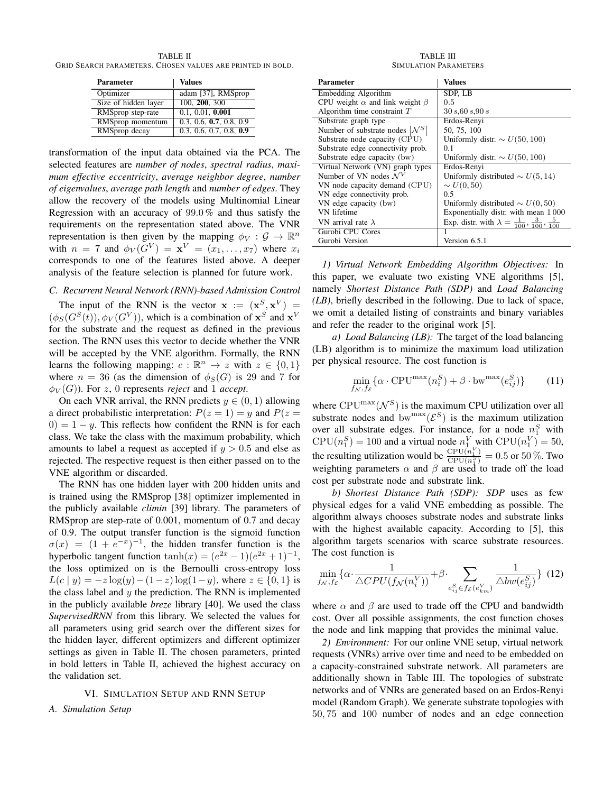TABLE II GRID SEARCH PARAMETERS. CHOSEN VALUES ARE PRINTED IN BOLD.

| Parameter            | <b>Values</b>           |
|----------------------|-------------------------|
| Optimizer            | adam [37], RMSprop      |
| Size of hidden layer | 100, 200, 300           |
| RMSprop step-rate    | 0.1, 0.01, 0.001        |
| RMSprop momentum     | 0.3, 0.6, 0.7, 0.8, 0.9 |
| RMSprop decay        | 0.3, 0.6, 0.7, 0.8, 0.9 |

transformation of the input data obtained via the PCA. The selected features are *number of nodes*, *spectral radius*, *maximum effective eccentricity*, *average neighbor degree*, *number of eigenvalues*, *average path length* and *number of edges*. They allow the recovery of the models using Multinomial Linear Regression with an accuracy of  $99.0\%$  and thus satisfy the requirements on the representation stated above. The VNR representation is then given by the mapping  $\phi_V : \mathcal{G} \to \mathbb{R}^n$ with  $n = 7$  and  $\phi_V(G^V) = \mathbf{x}^V = (x_1, \dots, x_7)$  where  $x_i$ corresponds to one of the features listed above. A deeper analysis of the feature selection is planned for future work.

#### *C. Recurrent Neural Network (RNN)-based Admission Control*

The input of the RNN is the vector  $x := (x^S, x^V) =$  $(\phi_S(G^S(t)), \phi_V(G^V))$ , which is a combination of  $\mathbf{x}^S$  and  $\mathbf{x}^V$ for the substrate and the request as defined in the previous section. The RNN uses this vector to decide whether the VNR will be accepted by the VNE algorithm. Formally, the RNN learns the following mapping:  $c : \mathbb{R}^n \to z$  with  $z \in \{0, 1\}$ where  $n = 36$  (as the dimension of  $\phi_S(G)$  is 29 and 7 for  $\phi_V(G)$ ). For z, 0 represents *reject* and 1 *accept*.

On each VNR arrival, the RNN predicts  $y \in (0, 1)$  allowing a direct probabilistic interpretation:  $P(z = 1) = y$  and  $P(z = 1)$  $0 = 1 - y$ . This reflects how confident the RNN is for each class. We take the class with the maximum probability, which amounts to label a request as accepted if  $y > 0.5$  and else as rejected. The respective request is then either passed on to the VNE algorithm or discarded.

The RNN has one hidden layer with 200 hidden units and is trained using the RMSprop [38] optimizer implemented in the publicly available *climin* [39] library. The parameters of RMSprop are step-rate of 0.001, momentum of 0.7 and decay of 0.9. The output transfer function is the sigmoid function  $\sigma(x) = (1 + e^{-x})^{-1}$ , the hidden transfer function is the hyperbolic tangent function  $\tanh(x) = (e^{2x} - 1)(e^{2x} + 1)^{-1}$ , the loss optimized on is the Bernoulli cross-entropy loss  $L(c | y) = -z \log(y) - (1-z) \log(1-y)$ , where  $z \in \{0, 1\}$  is the class label and  $y$  the prediction. The RNN is implemented in the publicly available *breze* library [40]. We used the class *SupervisedRNN* from this library. We selected the values for all parameters using grid search over the different sizes for the hidden layer, different optimizers and different optimizer settings as given in Table II. The chosen parameters, printed in bold letters in Table II, achieved the highest accuracy on the validation set.

#### VI. SIMULATION SETUP AND RNN SETUP

#### *A. Simulation Setup*

TABLE III SIMULATION PARAMETERS

| Parameter                                   | Values                                                                   |
|---------------------------------------------|--------------------------------------------------------------------------|
| Embedding Algorithm                         | SDP, LB                                                                  |
| CPU weight $\alpha$ and link weight $\beta$ | 0.5                                                                      |
| Algorithm time constraint $T$               | 30 s 60 s 90 s                                                           |
| Substrate graph type                        | Erdos-Renyi                                                              |
| Number of substrate nodes $ \mathcal{N}^S $ | 50, 75, 100                                                              |
| Substrate node capacity (CPU)               | Uniformly distr. $\sim U(50, 100)$                                       |
| Substrate edge connectivity prob.           | 0.1                                                                      |
| Substrate edge capacity (bw)                | Uniformly distr. $\sim U(50, 100)$                                       |
| Virtual Network (VN) graph types            | Erdos-Renyi                                                              |
| Number of VN nodes $\mathcal{N}^V$          | Uniformly distributed $\sim U(5, 14)$                                    |
| VN node capacity demand (CPU)               | $\sim U(0,50)$                                                           |
| VN edge connectivity prob.                  | 0.5                                                                      |
| VN edge capacity (bw)                       | Uniformly distributed $\sim U(0, 50)$                                    |
| VN lifetime                                 | Exponentially distr. with mean 1000                                      |
| VN arrival rate $\lambda$                   | Exp. distr. with $\lambda = \frac{1}{100}, \frac{3}{100}, \frac{5}{100}$ |
| Gurobi CPU Cores                            |                                                                          |
| Gurobi Version                              | Version 6.5.1                                                            |

*1) Virtual Network Embedding Algorithm Objectives:* In this paper, we evaluate two existing VNE algorithms [5], namely *Shortest Distance Path (SDP)* and *Load Balancing (LB)*, briefly described in the following. Due to lack of space, we omit a detailed listing of constraints and binary variables and refer the reader to the original work [5].

*a) Load Balancing (LB):* The target of the load balancing (LB) algorithm is to minimize the maximum load utilization per physical resource. The cost function is

$$
\min_{f_N, f_{\mathcal{E}}} \{ \alpha \cdot \text{CPU}^{\max}(n_i^S) + \beta \cdot \text{bw}^{\max}(e_{ij}^S) \} \tag{11}
$$

where  $\text{CPU}^{\max}(\mathcal{N}^S)$  is the maximum CPU utilization over all substrate nodes and bw<sup>max</sup>( $\mathcal{E}^S$ ) is the maximum utilization over all substrate edges. For instance, for a node  $n_1^S$  with  $CPU(n_1^S) = 100$  and a virtual node  $n_1^V$  with  $CPU(n_1^V) = 50$ , the resulting utilization would be  $\frac{\text{CPU}(n_1^V)}{\text{CPU}(n_1^S)}$  $\frac{\text{CPU}(n_1)}{\text{CPU}(n_1^S)} = 0.5 \text{ or } 50\%.$  Two weighting parameters  $\alpha$  and  $\beta$  are used to trade off the load cost per substrate node and substrate link.

*b) Shortest Distance Path (SDP): SDP* uses as few physical edges for a valid VNE embedding as possible. The algorithm always chooses substrate nodes and substrate links with the highest available capacity. According to [5], this algorithm targets scenarios with scarce substrate resources. The cost function is

$$
\min_{f_N, f_{\mathcal{E}}} \{ \alpha \cdot \frac{1}{\triangle CPU(f_N(n_i^V))} + \beta \cdot \sum_{e_{ij}^S \in f_{\mathcal{E}}(e_{km}^V)} \frac{1}{\triangle bw(e_{ij}^S)} \} (12)
$$

where  $\alpha$  and  $\beta$  are used to trade off the CPU and bandwidth cost. Over all possible assignments, the cost function choses the node and link mapping that provides the minimal value.

*2) Environment:* For our online VNE setup, virtual network requests (VNRs) arrive over time and need to be embedded on a capacity-constrained substrate network. All parameters are additionally shown in Table III. The topologies of substrate networks and of VNRs are generated based on an Erdos-Renyi model (Random Graph). We generate substrate topologies with 50, 75 and 100 number of nodes and an edge connection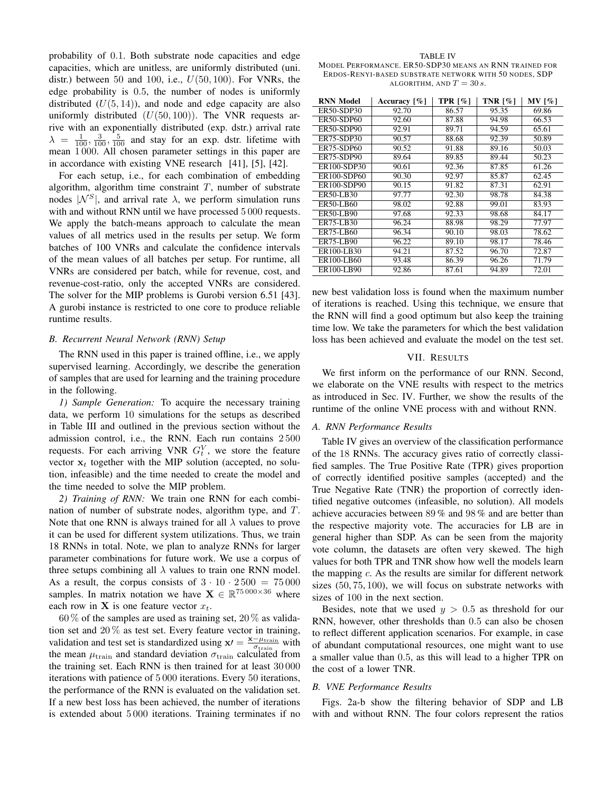probability of 0.1. Both substrate node capacities and edge capacities, which are unitless, are uniformly distributed (uni. distr.) between 50 and 100, i.e.,  $U(50, 100)$ . For VNRs, the edge probability is 0.5, the number of nodes is uniformly distributed  $(U(5, 14))$ , and node and edge capacity are also uniformly distributed  $(U(50, 100))$ . The VNR requests arrive with an exponentially distributed (exp. dstr.) arrival rate  $\lambda = \frac{1}{100}, \frac{3}{100}, \frac{5}{100}$  and stay for an exp. dstr. lifetime with mean 1 000. All chosen parameter settings in this paper are in accordance with existing VNE research [41], [5], [42].

For each setup, i.e., for each combination of embedding algorithm, algorithm time constraint  $T$ , number of substrate nodes  $|{\cal N}^S|$ , and arrival rate  $\lambda$ , we perform simulation runs with and without RNN until we have processed 5 000 requests. We apply the batch-means approach to calculate the mean values of all metrics used in the results per setup. We form batches of 100 VNRs and calculate the confidence intervals of the mean values of all batches per setup. For runtime, all VNRs are considered per batch, while for revenue, cost, and revenue-cost-ratio, only the accepted VNRs are considered. The solver for the MIP problems is Gurobi version 6.51 [43]. A gurobi instance is restricted to one core to produce reliable runtime results.

#### *B. Recurrent Neural Network (RNN) Setup*

The RNN used in this paper is trained offline, i.e., we apply supervised learning. Accordingly, we describe the generation of samples that are used for learning and the training procedure in the following.

*1) Sample Generation:* To acquire the necessary training data, we perform 10 simulations for the setups as described in Table III and outlined in the previous section without the admission control, i.e., the RNN. Each run contains 2 500 requests. For each arriving VNR  $G_t^V$ , we store the feature vector  $x_t$  together with the MIP solution (accepted, no solution, infeasible) and the time needed to create the model and the time needed to solve the MIP problem.

*2) Training of RNN:* We train one RNN for each combination of number of substrate nodes, algorithm type, and T. Note that one RNN is always trained for all  $\lambda$  values to prove it can be used for different system utilizations. Thus, we train 18 RNNs in total. Note, we plan to analyze RNNs for larger parameter combinations for future work. We use a corpus of three setups combining all  $\lambda$  values to train one RNN model. As a result, the corpus consists of  $3 \cdot 10 \cdot 2500 = 75000$ samples. In matrix notation we have  $\mathbf{X} \in \mathbb{R}^{75\,000\times36}$  where each row in **X** is one feature vector  $x_t$ .

 $60\%$  of the samples are used as training set,  $20\%$  as validation set and  $20\%$  as test set. Every feature vector in training, validation and test set is standardized using  $x = \frac{x - \mu_{\text{train}}}{\sigma_{\text{train}}}$  with the mean  $\mu_{\text{train}}$  and standard deviation  $\sigma_{\text{train}}$  calculated from the training set. Each RNN is then trained for at least 30 000 iterations with patience of 5 000 iterations. Every 50 iterations, the performance of the RNN is evaluated on the validation set. If a new best loss has been achieved, the number of iterations is extended about 5 000 iterations. Training terminates if no

TABLE IV MODEL PERFORMANCE. ER50-SDP30 MEANS AN RNN TRAINED FOR ERDOS-RENYI-BASED SUBSTRATE NETWORK WITH 50 NODES, SDP ALGORITHM, AND  $T = 30 s$ .

| <b>RNN Model</b>  | Accuracy $\lceil \% \rceil$ | TPR $\lceil \% \rceil$ | TNR $\lceil \% \rceil$ | <b>MV</b> [%] |
|-------------------|-----------------------------|------------------------|------------------------|---------------|
| <b>ER50-SDP30</b> | 92.70                       | 86.57                  | 95.35                  | 69.86         |
| <b>ER50-SDP60</b> | 92.60                       | 87.88                  | 94.98                  | 66.53         |
| <b>ER50-SDP90</b> | 92.91                       | 89.71                  | 94.59                  | 65.61         |
| <b>ER75-SDP30</b> | 90.57                       | 88.68                  | 92.39                  | 50.89         |
| <b>ER75-SDP60</b> | 90.52                       | 91.88                  | 89.16                  | 50.03         |
| ER75-SDP90        | 89.64                       | 89.85                  | 89.44                  | 50.23         |
| ER100-SDP30       | 90.61                       | 92.36                  | 87.85                  | 61.26         |
| ER100-SDP60       | 90.30                       | 92.97                  | 85.87                  | 62.45         |
| ER100-SDP90       | 90.15                       | 91.82                  | 87.31                  | 62.91         |
| ER50-LB30         | 97.77                       | 92.30                  | 98.78                  | 84.38         |
| ER50-LB60         | 98.02                       | 92.88                  | 99.01                  | 83.93         |
| <b>ER50-LB90</b>  | 97.68                       | 92.33                  | 98.68                  | 84.17         |
| ER75-LB30         | 96.24                       | 88.98                  | 98.29                  | 77.97         |
| <b>ER75-LB60</b>  | 96.34                       | 90.10                  | 98.03                  | 78.62         |
| <b>ER75-LB90</b>  | 96.22                       | 89.10                  | 98.17                  | 78.46         |
| ER100-LB30        | 94.21                       | 87.52                  | 96.70                  | 72.87         |
| ER100-LB60        | 93.48                       | 86.39                  | 96.26                  | 71.79         |
| ER100-LB90        | 92.86                       | 87.61                  | 94.89                  | 72.01         |

new best validation loss is found when the maximum number of iterations is reached. Using this technique, we ensure that the RNN will find a good optimum but also keep the training time low. We take the parameters for which the best validation loss has been achieved and evaluate the model on the test set.

# VII. RESULTS

We first inform on the performance of our RNN. Second, we elaborate on the VNE results with respect to the metrics as introduced in Sec. IV. Further, we show the results of the runtime of the online VNE process with and without RNN.

#### *A. RNN Performance Results*

Table IV gives an overview of the classification performance of the 18 RNNs. The accuracy gives ratio of correctly classified samples. The True Positive Rate (TPR) gives proportion of correctly identified positive samples (accepted) and the True Negative Rate (TNR) the proportion of correctly identified negative outcomes (infeasible, no solution). All models achieve accuracies between 89 % and 98 % and are better than the respective majority vote. The accuracies for LB are in general higher than SDP. As can be seen from the majority vote column, the datasets are often very skewed. The high values for both TPR and TNR show how well the models learn the mapping  $c$ . As the results are similar for different network sizes (50, 75, 100), we will focus on substrate networks with sizes of 100 in the next section.

Besides, note that we used  $y > 0.5$  as threshold for our RNN, however, other thresholds than 0.5 can also be chosen to reflect different application scenarios. For example, in case of abundant computational resources, one might want to use a smaller value than 0.5, as this will lead to a higher TPR on the cost of a lower TNR.

#### *B. VNE Performance Results*

Figs. 2a-b show the filtering behavior of SDP and LB with and without RNN. The four colors represent the ratios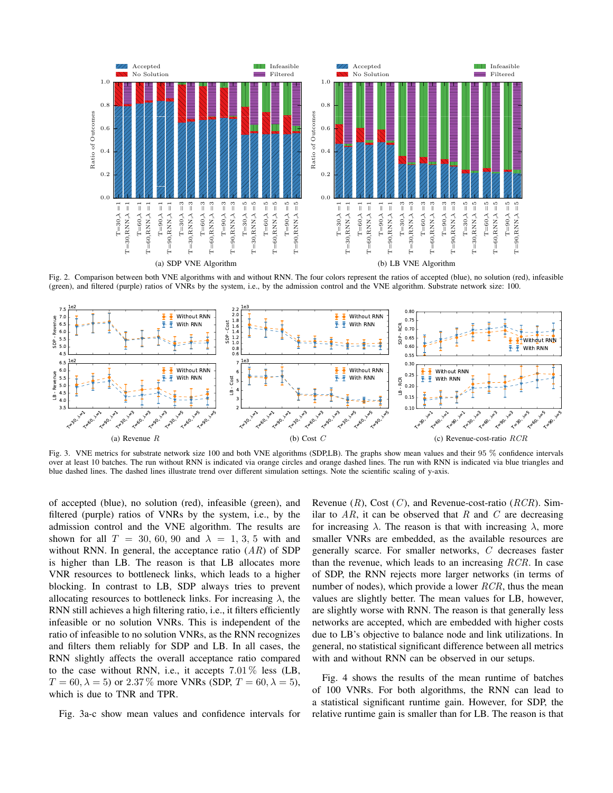

Fig. 2. Comparison between both VNE algorithms with and without RNN. The four colors represent the ratios of accepted (blue), no solution (red), infeasible (green), and filtered (purple) ratios of VNRs by the system, i.e., by the admission control and the VNE algorithm. Substrate network size: 100.



Fig. 3. VNE metrics for substrate network size 100 and both VNE algorithms (SDP,LB). The graphs show mean values and their 95 % confidence intervals over at least 10 batches. The run without RNN is indicated via orange circles and orange dashed lines. The run with RNN is indicated via blue triangles and blue dashed lines. The dashed lines illustrate trend over different simulation settings. Note the scientific scaling of y-axis.

of accepted (blue), no solution (red), infeasible (green), and filtered (purple) ratios of VNRs by the system, i.e., by the admission control and the VNE algorithm. The results are shown for all  $T = 30, 60, 90$  and  $\lambda = 1, 3, 5$  with and without RNN. In general, the acceptance ratio  $(AR)$  of SDP is higher than LB. The reason is that LB allocates more VNR resources to bottleneck links, which leads to a higher blocking. In contrast to LB, SDP always tries to prevent allocating resources to bottleneck links. For increasing  $\lambda$ , the RNN still achieves a high filtering ratio, i.e., it filters efficiently infeasible or no solution VNRs. This is independent of the ratio of infeasible to no solution VNRs, as the RNN recognizes and filters them reliably for SDP and LB. In all cases, the RNN slightly affects the overall acceptance ratio compared to the case without RNN, i.e., it accepts  $7.01\%$  less (LB,  $T = 60, \lambda = 5$  or 2.37% more VNRs (SDP,  $T = 60, \lambda = 5$ ), which is due to TNR and TPR.

Fig. 3a-c show mean values and confidence intervals for

Revenue  $(R)$ , Cost  $(C)$ , and Revenue-cost-ratio  $(RCR)$ . Similar to  $AR$ , it can be observed that R and C are decreasing for increasing  $\lambda$ . The reason is that with increasing  $\lambda$ , more smaller VNRs are embedded, as the available resources are generally scarce. For smaller networks, C decreases faster than the revenue, which leads to an increasing  $RCR$ . In case of SDP, the RNN rejects more larger networks (in terms of number of nodes), which provide a lower  $RCR$ , thus the mean values are slightly better. The mean values for LB, however, are slightly worse with RNN. The reason is that generally less networks are accepted, which are embedded with higher costs due to LB's objective to balance node and link utilizations. In general, no statistical significant difference between all metrics with and without RNN can be observed in our setups.

Fig. 4 shows the results of the mean runtime of batches of 100 VNRs. For both algorithms, the RNN can lead to a statistical significant runtime gain. However, for SDP, the relative runtime gain is smaller than for LB. The reason is that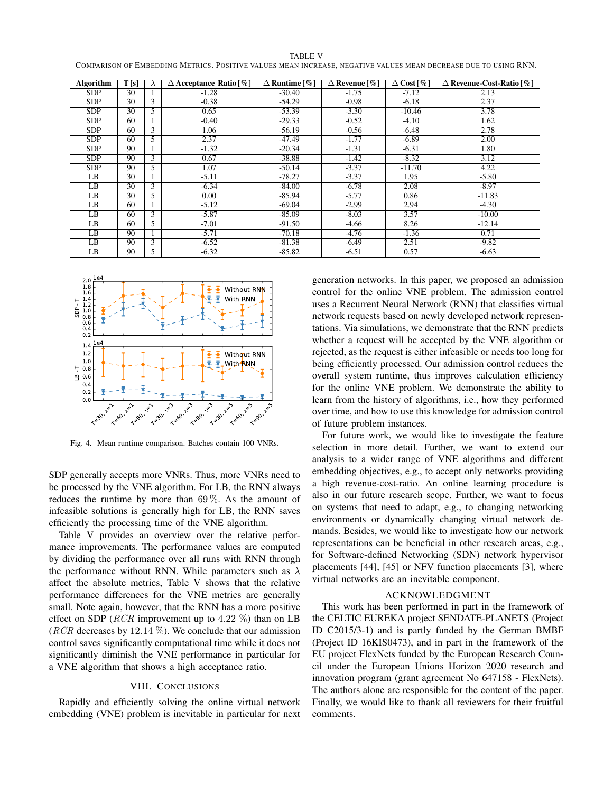|--|--|

COMPARISON OF EMBEDDING METRICS. POSITIVE VALUES MEAN INCREASE, NEGATIVE VALUES MEAN DECREASE DUE TO USING RNN.

| Algorithm  | T[s]            | $\lambda$ | $\triangle$ Acceptance Ratio [%] | $\Delta$ Runtime [%] | $\Delta$ Revenue [%] | $\Delta$ Cost [%] | $\Delta$ Revenue-Cost-Ratio [%] |
|------------|-----------------|-----------|----------------------------------|----------------------|----------------------|-------------------|---------------------------------|
| <b>SDP</b> | 30              |           | $-1.28$                          | $-30.40$             | $-1.75$              | $-7.12$           | 2.13                            |
| <b>SDP</b> | 30              | 3         | $-0.38$                          | $-54.29$             | $-0.98$              | $-6.18$           | 2.37                            |
| <b>SDP</b> | 30              | 5         | 0.65                             | $-53.39$             | $-3.30$              | $-10.46$          | 3.78                            |
| <b>SDP</b> | 60              |           | $-0.40$                          | $-29.33$             | $-0.52$              | $-4.10$           | 1.62                            |
| <b>SDP</b> | 60              | 3         | 1.06                             | $-56.19$             | $-0.56$              | $-6.48$           | 2.78                            |
| <b>SDP</b> | 60              | 5         | 2.37                             | $-47.49$             | $-1.77$              | $-6.89$           | 2.00                            |
| SDP        | 90              |           | $-1.32$                          | $-20.34$             | $-1.31$              | $-6.31$           | 1.80                            |
| SDP        | 90              | 3         | 0.67                             | $-38.88$             | $-1.42$              | $-8.32$           | 3.12                            |
| <b>SDP</b> | 90              | 5         | 1.07                             | $-50.14$             | $-3.37$              | $-11.70$          | 4.22                            |
| LB         | 30              |           | $-5.11$                          | $-78.27$             | $-3.37$              | 1.95              | $-5.80$                         |
| LB         | 30              | 3         | $-6.34$                          | $-84.00$             | $-6.78$              | 2.08              | $-8.97$                         |
| LB         | $\overline{30}$ | 5         | 0.00                             | $-85.94$             | $-5.77$              | 0.86              | $-11.83$                        |
| LB         | 60              |           | $-5.12$                          | $-69.04$             | $-2.99$              | 2.94              | $-4.30$                         |
| LB         | 60              | 3         | $-5.87$                          | $-85.09$             | $-8.03$              | 3.57              | $-10.00$                        |
| LB         | 60              | 5         | $-7.01$                          | $-91.50$             | $-4.66$              | 8.26              | $-12.14$                        |
| LB         | 90              |           | $-5.71$                          | $-70.18$             | $-4.76$              | $-1.36$           | 0.71                            |
| LB         | 90              | 3         | $-6.52$                          | $-81.38$             | $-6.49$              | 2.51              | $-9.82$                         |
| LB         | 90              | 5         | $-6.32$                          | $-85.82$             | $-6.51$              | 0.57              | $-6.63$                         |



Fig. 4. Mean runtime comparison. Batches contain 100 VNRs.

SDP generally accepts more VNRs. Thus, more VNRs need to be processed by the VNE algorithm. For LB, the RNN always reduces the runtime by more than  $69\%$ . As the amount of infeasible solutions is generally high for LB, the RNN saves efficiently the processing time of the VNE algorithm.

Table V provides an overview over the relative performance improvements. The performance values are computed by dividing the performance over all runs with RNN through the performance without RNN. While parameters such as  $\lambda$ affect the absolute metrics, Table V shows that the relative performance differences for the VNE metrics are generally small. Note again, however, that the RNN has a more positive effect on SDP (*RCR* improvement up to 4.22  $\%$ ) than on LB (*RCR* decreases by 12.14  $\%$ ). We conclude that our admission control saves significantly computational time while it does not significantly diminish the VNE performance in particular for a VNE algorithm that shows a high acceptance ratio.

## VIII. CONCLUSIONS

Rapidly and efficiently solving the online virtual network embedding (VNE) problem is inevitable in particular for next

generation networks. In this paper, we proposed an admission control for the online VNE problem. The admission control uses a Recurrent Neural Network (RNN) that classifies virtual network requests based on newly developed network representations. Via simulations, we demonstrate that the RNN predicts whether a request will be accepted by the VNE algorithm or rejected, as the request is either infeasible or needs too long for being efficiently processed. Our admission control reduces the overall system runtime, thus improves calculation efficiency for the online VNE problem. We demonstrate the ability to learn from the history of algorithms, i.e., how they performed over time, and how to use this knowledge for admission control of future problem instances.

For future work, we would like to investigate the feature selection in more detail. Further, we want to extend our analysis to a wider range of VNE algorithms and different embedding objectives, e.g., to accept only networks providing a high revenue-cost-ratio. An online learning procedure is also in our future research scope. Further, we want to focus on systems that need to adapt, e.g., to changing networking environments or dynamically changing virtual network demands. Besides, we would like to investigate how our network representations can be beneficial in other research areas, e.g., for Software-defined Networking (SDN) network hypervisor placements [44], [45] or NFV function placements [3], where virtual networks are an inevitable component.

## ACKNOWLEDGMENT

This work has been performed in part in the framework of the CELTIC EUREKA project SENDATE-PLANETS (Project ID C2015/3-1) and is partly funded by the German BMBF (Project ID 16KIS0473), and in part in the framework of the EU project FlexNets funded by the European Research Council under the European Unions Horizon 2020 research and innovation program (grant agreement No 647158 - FlexNets). The authors alone are responsible for the content of the paper. Finally, we would like to thank all reviewers for their fruitful comments.